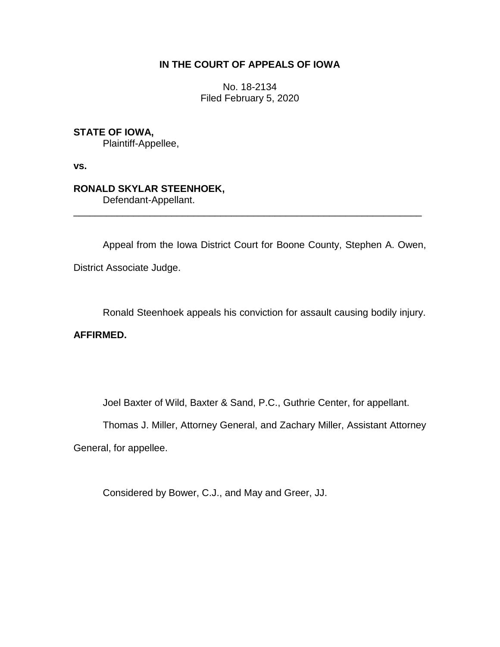# **IN THE COURT OF APPEALS OF IOWA**

No. 18-2134 Filed February 5, 2020

### **STATE OF IOWA,**

Plaintiff-Appellee,

**vs.**

# **RONALD SKYLAR STEENHOEK,**

Defendant-Appellant.

Appeal from the Iowa District Court for Boone County, Stephen A. Owen, District Associate Judge.

\_\_\_\_\_\_\_\_\_\_\_\_\_\_\_\_\_\_\_\_\_\_\_\_\_\_\_\_\_\_\_\_\_\_\_\_\_\_\_\_\_\_\_\_\_\_\_\_\_\_\_\_\_\_\_\_\_\_\_\_\_\_\_\_

Ronald Steenhoek appeals his conviction for assault causing bodily injury.

## **AFFIRMED.**

Joel Baxter of Wild, Baxter & Sand, P.C., Guthrie Center, for appellant.

Thomas J. Miller, Attorney General, and Zachary Miller, Assistant Attorney

General, for appellee.

Considered by Bower, C.J., and May and Greer, JJ.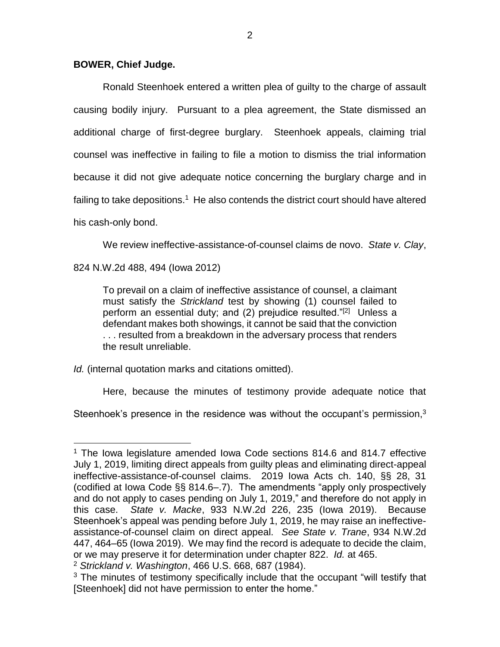#### **BOWER, Chief Judge.**

Ronald Steenhoek entered a written plea of guilty to the charge of assault causing bodily injury. Pursuant to a plea agreement, the State dismissed an additional charge of first-degree burglary. Steenhoek appeals, claiming trial counsel was ineffective in failing to file a motion to dismiss the trial information because it did not give adequate notice concerning the burglary charge and in failing to take depositions.<sup>1</sup> He also contends the district court should have altered his cash-only bond.

We review ineffective-assistance-of-counsel claims de novo. *State v. Clay*,

824 N.W.2d 488, 494 (Iowa 2012)

To prevail on a claim of ineffective assistance of counsel, a claimant must satisfy the *Strickland* test by showing (1) counsel failed to perform an essential duty; and (2) prejudice resulted."<sup>[2]</sup> Unless a defendant makes both showings, it cannot be said that the conviction . . . resulted from a breakdown in the adversary process that renders the result unreliable.

*Id.* (internal quotation marks and citations omitted).

Here, because the minutes of testimony provide adequate notice that

Steenhoek's presence in the residence was without the occupant's permission, $3$ 

 $\overline{a}$ <sup>1</sup> The Iowa legislature amended Iowa Code sections 814.6 and 814.7 effective July 1, 2019, limiting direct appeals from guilty pleas and eliminating direct-appeal ineffective-assistance-of-counsel claims. 2019 Iowa Acts ch. 140, §§ 28, 31 (codified at Iowa Code §§ 814.6–.7). The amendments "apply only prospectively and do not apply to cases pending on July 1, 2019," and therefore do not apply in this case. *State v. Macke*, 933 N.W.2d 226, 235 (Iowa 2019). Because Steenhoek's appeal was pending before July 1, 2019, he may raise an ineffectiveassistance-of-counsel claim on direct appeal. *See State v. Trane*, 934 N.W.2d 447, 464–65 (Iowa 2019). We may find the record is adequate to decide the claim, or we may preserve it for determination under chapter 822. *Id.* at 465.

<sup>2</sup> *Strickland v. Washington*, 466 U.S. 668, 687 (1984).

<sup>&</sup>lt;sup>3</sup> The minutes of testimony specifically include that the occupant "will testify that [Steenhoek] did not have permission to enter the home."